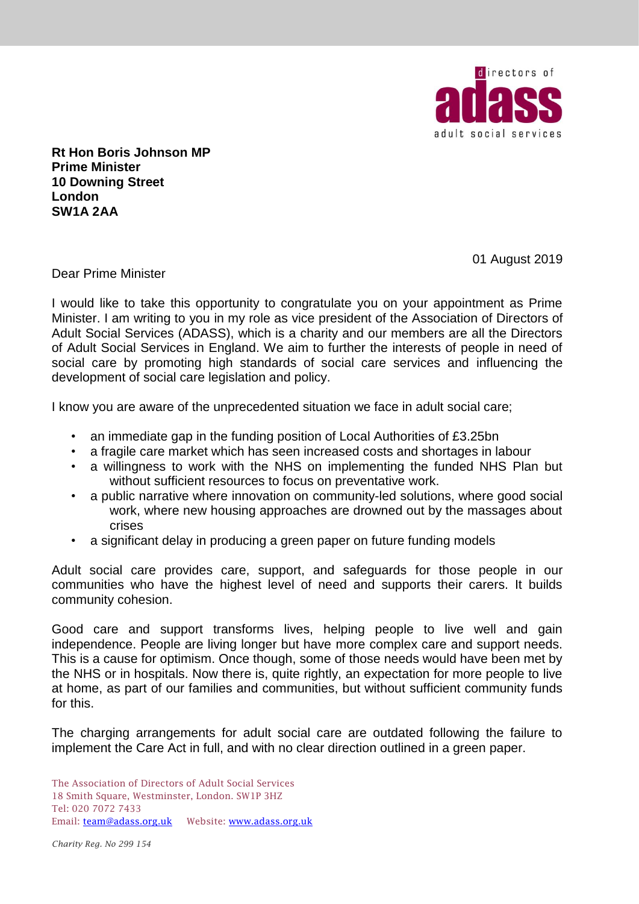

**Rt Hon Boris Johnson MP Prime Minister 10 Downing Street London SW1A 2AA**

01 August 2019

Dear Prime Minister

I would like to take this opportunity to congratulate you on your appointment as Prime Minister. I am writing to you in my role as vice president of the Association of Directors of Adult Social Services (ADASS), which is a charity and our members are all the Directors of Adult Social Services in England. We aim to further the interests of people in need of social care by promoting high standards of social care services and influencing the development of social care legislation and policy.

I know you are aware of the unprecedented situation we face in adult social care;

- an immediate gap in the funding position of Local Authorities of £3.25bn
- a fragile care market which has seen increased costs and shortages in labour
- a willingness to work with the NHS on implementing the funded NHS Plan but without sufficient resources to focus on preventative work.
- a public narrative where innovation on community-led solutions, where good social work, where new housing approaches are drowned out by the massages about crises
- a significant delay in producing a green paper on future funding models

Adult social care provides care, support, and safeguards for those people in our communities who have the highest level of need and supports their carers. It builds community cohesion.

Good care and support transforms lives, helping people to live well and gain independence. People are living longer but have more complex care and support needs. This is a cause for optimism. Once though, some of those needs would have been met by the NHS or in hospitals. Now there is, quite rightly, an expectation for more people to live at home, as part of our families and communities, but without sufficient community funds for this.

The charging arrangements for adult social care are outdated following the failure to implement the Care Act in full, and with no clear direction outlined in a green paper.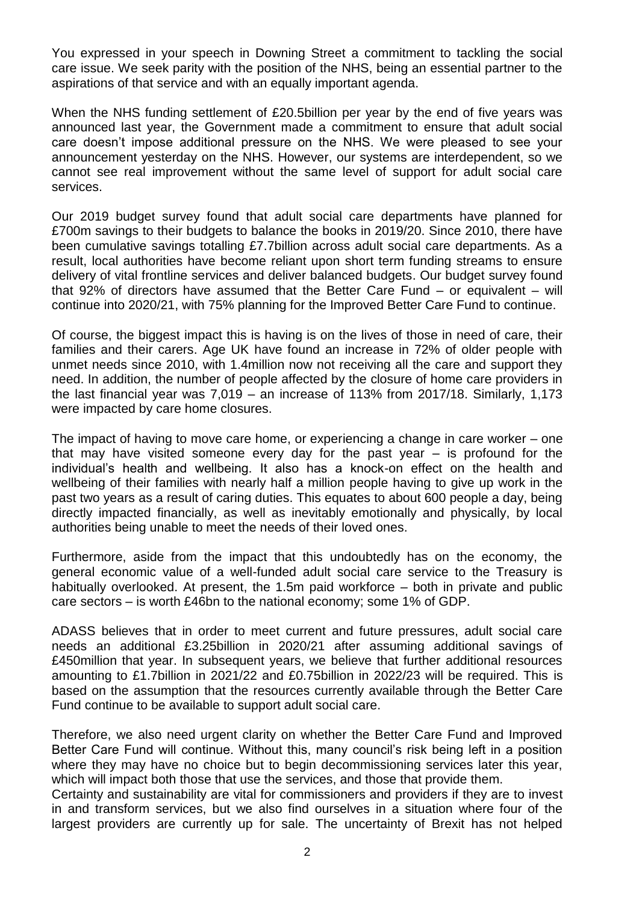You expressed in your speech in Downing Street a commitment to tackling the social care issue. We seek parity with the position of the NHS, being an essential partner to the aspirations of that service and with an equally important agenda.

When the NHS funding settlement of £20.5billion per year by the end of five years was announced last year, the Government made a commitment to ensure that adult social care doesn't impose additional pressure on the NHS. We were pleased to see your announcement yesterday on the NHS. However, our systems are interdependent, so we cannot see real improvement without the same level of support for adult social care services.

Our 2019 budget survey found that adult social care departments have planned for £700m savings to their budgets to balance the books in 2019/20. Since 2010, there have been cumulative savings totalling £7.7billion across adult social care departments. As a result, local authorities have become reliant upon short term funding streams to ensure delivery of vital frontline services and deliver balanced budgets. Our budget survey found that 92% of directors have assumed that the Better Care Fund – or equivalent – will continue into 2020/21, with 75% planning for the Improved Better Care Fund to continue.

Of course, the biggest impact this is having is on the lives of those in need of care, their families and their carers. Age UK have found an increase in 72% of older people with unmet needs since 2010, with 1.4million now not receiving all the care and support they need. In addition, the number of people affected by the closure of home care providers in the last financial year was 7,019 – an increase of 113% from 2017/18. Similarly, 1,173 were impacted by care home closures.

The impact of having to move care home, or experiencing a change in care worker – one that may have visited someone every day for the past year – is profound for the individual's health and wellbeing. It also has a knock-on effect on the health and wellbeing of their families with nearly half a million people having to give up work in the past two years as a result of caring duties. This equates to about 600 people a day, being directly impacted financially, as well as inevitably emotionally and physically, by local authorities being unable to meet the needs of their loved ones.

Furthermore, aside from the impact that this undoubtedly has on the economy, the general economic value of a well-funded adult social care service to the Treasury is habitually overlooked. At present, the 1.5m paid workforce – both in private and public care sectors – is worth £46bn to the national economy; some 1% of GDP.

ADASS believes that in order to meet current and future pressures, adult social care needs an additional £3.25billion in 2020/21 after assuming additional savings of £450million that year. In subsequent years, we believe that further additional resources amounting to £1.7billion in 2021/22 and £0.75billion in 2022/23 will be required. This is based on the assumption that the resources currently available through the Better Care Fund continue to be available to support adult social care.

Therefore, we also need urgent clarity on whether the Better Care Fund and Improved Better Care Fund will continue. Without this, many council's risk being left in a position where they may have no choice but to begin decommissioning services later this year, which will impact both those that use the services, and those that provide them.

Certainty and sustainability are vital for commissioners and providers if they are to invest in and transform services, but we also find ourselves in a situation where four of the largest providers are currently up for sale. The uncertainty of Brexit has not helped